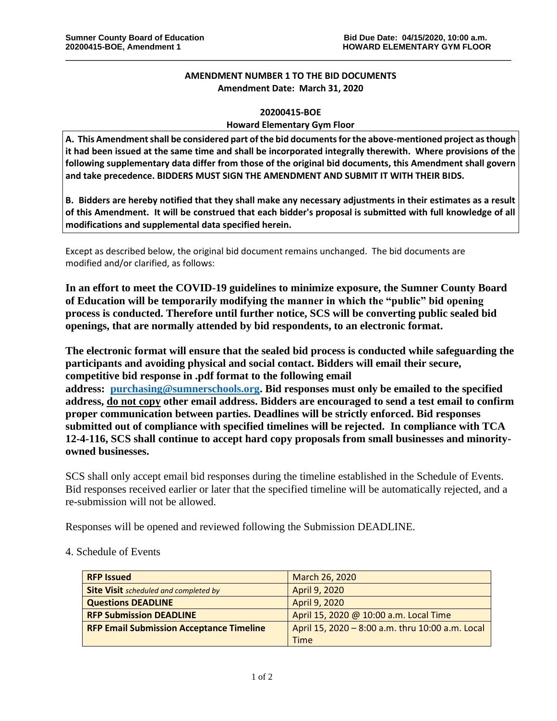## **AMENDMENT NUMBER 1 TO THE BID DOCUMENTS Amendment Date: March 31, 2020**

\_\_\_\_\_\_\_\_\_\_\_\_\_\_\_\_\_\_\_\_\_\_\_\_\_\_\_\_\_\_\_\_\_\_\_\_\_\_\_\_\_\_\_\_\_\_\_\_\_\_\_\_\_\_\_\_\_\_\_\_\_\_\_\_\_\_\_\_\_\_\_\_\_\_\_\_\_\_\_\_\_\_\_\_\_\_\_\_\_\_\_\_\_\_\_\_\_\_

## **20200415-BOE**

## **Howard Elementary Gym Floor**

**A. This Amendment shall be considered part of the bid documents for the above-mentioned project as though it had been issued at the same time and shall be incorporated integrally therewith. Where provisions of the following supplementary data differ from those of the original bid documents, this Amendment shall govern and take precedence. BIDDERS MUST SIGN THE AMENDMENT AND SUBMIT IT WITH THEIR BIDS.**

**B. Bidders are hereby notified that they shall make any necessary adjustments in their estimates as a result of this Amendment. It will be construed that each bidder's proposal is submitted with full knowledge of all modifications and supplemental data specified herein.**

Except as described below, the original bid document remains unchanged. The bid documents are modified and/or clarified, as follows:

**In an effort to meet the COVID-19 guidelines to minimize exposure, the Sumner County Board of Education will be temporarily modifying the manner in which the "public" bid opening process is conducted. Therefore until further notice, SCS will be converting public sealed bid openings, that are normally attended by bid respondents, to an electronic format.**

**The electronic format will ensure that the sealed bid process is conducted while safeguarding the participants and avoiding physical and social contact. Bidders will email their secure, competitive bid response in .pdf format to the following email address: [purchasing@sumnerschools.org.](mailto:purchasing@sumnerschools.org) Bid responses must only be emailed to the specified address, do not copy other email address. Bidders are encouraged to send a test email to confirm proper communication between parties. Deadlines will be strictly enforced. Bid responses submitted out of compliance with specified timelines will be rejected. In compliance with TCA 12-4-116, SCS shall continue to accept hard copy proposals from small businesses and minorityowned businesses.**

SCS shall only accept email bid responses during the timeline established in the Schedule of Events. Bid responses received earlier or later that the specified timeline will be automatically rejected, and a re-submission will not be allowed.

Responses will be opened and reviewed following the Submission DEADLINE.

4. Schedule of Events

| <b>RFP Issued</b>                               | March 26, 2020                                   |
|-------------------------------------------------|--------------------------------------------------|
| <b>Site Visit</b> scheduled and completed by    | April 9, 2020                                    |
| <b>Questions DEADLINE</b>                       | April 9, 2020                                    |
| <b>RFP Submission DEADLINE</b>                  | April 15, 2020 @ 10:00 a.m. Local Time           |
| <b>RFP Email Submission Acceptance Timeline</b> | April 15, 2020 - 8:00 a.m. thru 10:00 a.m. Local |
|                                                 | <b>Time</b>                                      |